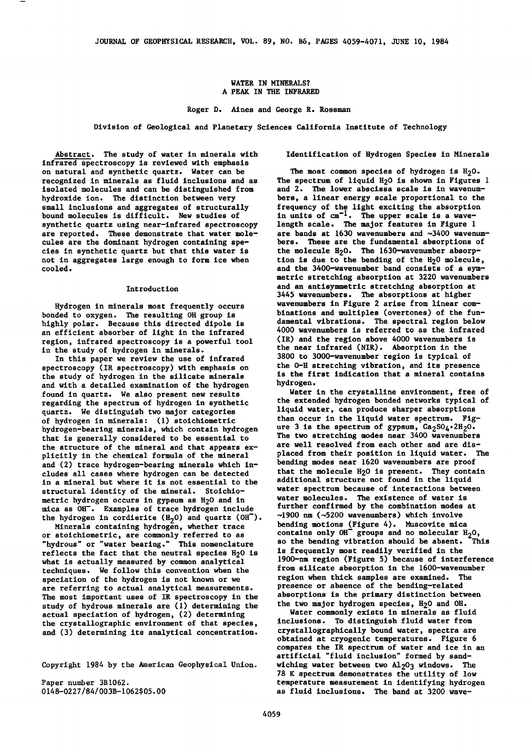### WATER IN MINERALS? A PEAK IN THE INFRARED

Roger D. Aines and George R. Rossman

Division of Geological and Planetary Sciences California Institute of Technology

Abstract. The study of water in minerals with infrared spectroscopy is reviewed with emphasis on natural and synthetic quartz. Water can be recognized in minerals as fluid inclusions and as isolated molecules and can be distinguished from hydroxide ion. The distinction between very small inclusions and aggregates of structurally bound molecules is difficult. New studies of synthetic quartz using near-infrared spectroscopy are reported. These demonstrate that water molecules are the dominant hydrogen containing species in synthetic quartz but that this water is not in aggregates large enough to form ice when cooled.

### Introduction

Hydrogen in minerals most frequently occurs bonded to oxygen. The resulting OH group is highly polar. Because this directed dipole is an efficient absorber of light in the infrared region, infrared spectroscopy is a powerful tool in the study of hydrogen in minerals.

In this paper we review the use of infrared spectroscopy (IR spectroscopy) with emphasis on the study of hydrogen in the silicate minerals and with a detailed examination of the hydrogen found in quartz. We also present new results regarding the spectrum of hydrogen in synthetic quartz. We distinguish two major categories of hydrogen in minerals: (1) stoichiometric hydrogen-bearing minerals, which contain hydrogen that is generally considered to be essential to the structure of the mineral and that appears ex- plicitly in the chemical formula of the mineral and (2) trace hydrogen-bearing minerals which includes all cases where hydrogen can be detected in a mineral but where it is not essential to the structural identity of the mineral. Stoichiometric hydrogen occurs in gypsum as *HzO* and in mica as OH-. Examples of trace hydrogen include the hydrogen in cordierite  $(H_2O)$  and quartz  $(OH^-)$ .<br>Minerals containing hydrogen, whether trace

Minerals containing hydrogen, whether trace or stoichiometric, are commonly referred to as "hydrous" or "water bearing." This nomenclature reflects the fact that the neutral species *HzO* is what is actually measured by common analytical techniques. We follow this convention when the speciation of the hydrogen is not known or we are referring to actual analytical measurements. The most important uses of IR spectroscopy in the study of hydrous minerals are (1) determining the actual speciation of hydrogen, (2) determining the crystallographic environment of that species, and (3) determining its analytical concentration.

Copyright 1984 by the American Geophysical Union.

Paper number 3B1062. 0148-0227/84/003B-1062\$05.00 Identification of Hydrogen Species in Minerals

The most common species of hydrogen is  $H_2O$ . The spectrum of liquid H<sub>2</sub>O is shown in Figures 1 and 2. The lower abscissa scale is in wavenumbers, a linear energy scale proportional to the frequency of the light exciting the absorption in units of  $cm^{-1}$ . The upper scale is a wavelength scale. The major features in Figure 1 are bands at 1630 wavenumbers and  $\sim$ 3400 wavenumbers. These are the fundamental absorptions of the molecule  $H_2O$ . The 1630-wavenumber absorption is due to the bending of the  $H_20$  molecule, and the 3400-wavenumber band consists of a symmetric stretching absorption at 3220 wavenumbers and an antisymmetric stretching absorption at 3445 wavenumbers. The absorptions at higher wavenumbers in Figure 2 arise from linear combinations and multiples (overtones) of the fundamental vibrations. The spectral region below 4000 wavenumbers is referred to as the infrared (IR) and the region above 4000 wavenumbers is the near infrared (NIR). Absorption in the 3800 to 3000-wavenumber region is typical of the 0-H stretching vibration, and its presence is the first indication that a mineral contains hydrogen.

Water in the crystalline environment, free of the extended hydrogen bonded networks typical of liquid water, can produce sharper absorptions than occur in the liquid water spectrum. Fig-<br>ure 3 is the spectrum of gypsum,  $Ca_2SO_4*2H_2O$ . The two stretching modes near 3400 wavenumbers are well resolved from each other and are displaced from their position in liquid water. The bending modes near 1620 wavenumbers are proof that the molecule H20 is present. They contain additional structure not found in the liquid water spectrum because of interactions between water molecules. The existence of water is further confirmed by the combination modes at -1900 nm (-5200 wavenumbers) which involve bending motions (Figure 4). Muscovite mica contains only  $OH^{\dagger}$  groups and no molecular  $H_2O$ , so the bending vibration should be absent. This so the bending vibration should be absent.<br>is frequently most readily verified in the 190Q-nm region (Figure 5) because of interference from silicate absorption in the 1600-wavenumber region when thick samples are examined. The presence or absence of the bending-related absorptions is the primary distinction between the two major hydrogen species, H<sub>2</sub>O and OH.

Water commonly exists in minerals as fluid inclusions. To distinguish fluid water from crystallographically bound water, spectra are obtained at cryogenic temperatures. Figure 6 compares the IR spectrum of water and ice in an artificial "fluid inclusion" formed by sandwiching water between two A1203 windows. The 78 K spectrum demonstrates the utility of low temperature measurement in identifying hydrogen as fluid inclusions. The band at 3200 wave-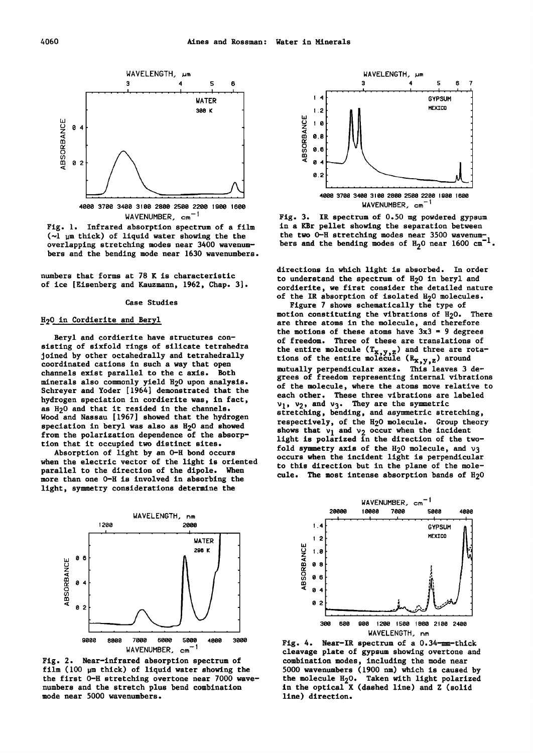

WAVENUMBER, cm<sup>-1</sup> Fig. 1. Infrared absorption spectrum of a film  $(\sim)$   $\mu$ m thick) of liquid water showing the the

overlapping stretching modes near 3400 wavenumbers and the bending mode near 1630 wavenumbers.

numbers that forms at 78 K is characteristic of ice [Eisenberg and Kauzmann, 1962, Chap. 3].

#### Case Studies

# H<sub>2</sub>0 in Cordierite and Beryl

Beryl and cordierite have structures consisting of sixfold rings of silicate tetrahedra joined by other octahedrally and tetrahedrally coordinated cations in such a way that open channels exist parallel to the c axis. Both minerals also commonly yield H20 upon analysis. Schreyer and Yoder [1964] demonstrated that the hydrogen speciation in cordierite was, in fact, as H20 and that it resided in the channels. Wood and Nassau [1967] showed that the hydrogen speciation in beryl was also as H<sub>2</sub>O and showed from the polarization dependence of the absorption that it occupied two distinct sites.

Absorption of light by an Q-H bond occurs when the electric vector of the light is oriented parallel to the direction of the dipole. When more than one 0-H is involved in absorbing the light, symmetry considerations determine the



Fig. 2. Near-infrared absorption spectrum of film (100 pm thick) of liquid water showing the the first 0-H stretching overtone near 7000 wavenumbers and the stretch plus bend combination mode near 5000 wavenumbers.



Fig. 3. IR spectrum of 0.50 mg powdered gypsum in a KBr pellet showing the separation between<br>the two 0-H stretching modes near 3500 wavenumbers and the bending modes of  $H_2$ O near 1600  $cm^{-1}$ .

directions in which light is absorbed. In order to understand the spectrum of H<sub>2</sub>O in beryl and cordierite, we first consider the detailed nature of the IR absorption of isolated H<sub>2</sub>O molecules.

Figure 7 shows schematically the type of motion constituting the vibrations of  $H_2O$ . There are three atoms in the molecule, and therefore the motions of these atoms have  $3x3 = 9$  degrees of freedom. Three of these are translations of the entire molecule  $(T_{X,Y,Z})$  and three are rotations of the entire molecule  $(R_{x,y,z})$  around tions of the entire molecule  $(x_x, y, z)$  around<br>mutually perpendicular axes. This leaves 3 degrees of freedom representing internal vibrations of the molecule, where the atoms move relative to each other. These three vibrations are labeled  $v_1$ ,  $v_2$ , and  $v_3$ . They are the symmetric stretching, bending, and asymmetric stretching, respectively, of the H20 molecule. Group theory shows that  $v_1$  and  $v_2$  occur when the incident light is polarized in the direction of the two-<br>fold symmetry axis of the  $H_2O$  molecule, and  $\nu_3$ occurs when the incident light is perpendicular to this direction but in the plane of the molecule. The most intense absorption bands of  $H<sub>2</sub>O$ 



Fig. 4. Near-IR spectrum of a 0.34-mm-thick cleavage plate of gypsum showing overtone and combination modes, including the mode near 5000 wavenumbers (1900 nm) which is caused by the molecule  $H_2O$ . Taken with light polarized in the optical X (dashed line) and Z (solid line) direction.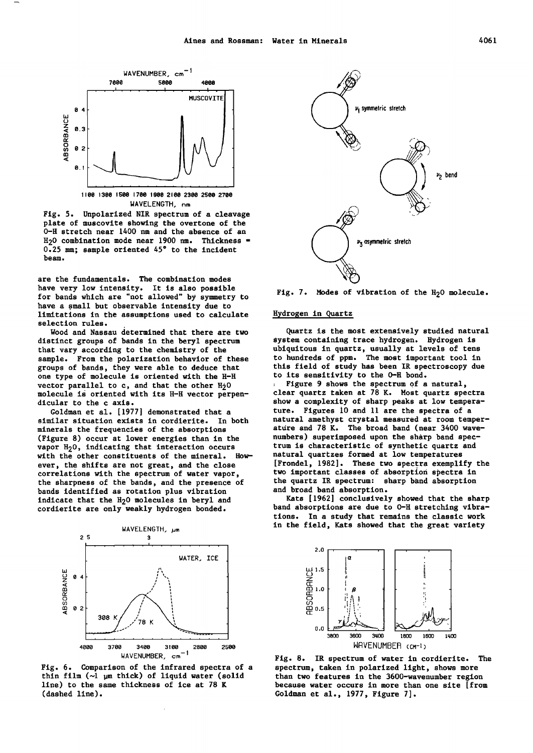

Fig. 5. Unpolarized NIR spectrum of a cleavage plate of muscovite showing the overtone of the 0-H stretch near 1400 nm and the absence of an  $H<sub>2</sub>O$  combination mode near 1900 nm. Thickness = 0.25 mm; sample oriented 45° to the incident beam.

are the fundamentals. The combination modes have very low intensity. It is also possible for bands which are "not allowed" by symmetry to have a small but observable intensity due to limitations in the assumptions used to calculate selection rules.

Wood and Nassau determined that there are two distinct groups of bands in the beryl spectrum that vary according to the chemistry of the sample. From the polarization behavior of these groups of bands, they were able to deduce that one type of molecule is oriented with the H-H vector parallel to c, and that the other  $H_2$ 0 molecule is oriented with its H-H vector perpendicular to the c axis.

Goldman et al. [1977] demonstrated that a similar situation exists in cordierite. In both minerals the frequencies of the absorptions (Figure 8) occur at lower energies than in the vapor H<sub>2</sub>0, indicating that interaction occurs with the other constituents of the mineral. However, the shifts are not great, and the close correlations with the spectrum of water vapor, the sharpness of the bands, and the presence of bands identified as rotation plus vibration indicate that the H<sub>2</sub>0 molecules in beryl and cordierite are only weakly hydrogen bonded.



Fig. 6. Comparison of the infrared spectra of a thin film  $(\sim)$   $\mu$ m thick) of liquid water (solid line) to the same thickness of ice at 78 K (dashed line).



Fig. 7. Modes of vibration of the H<sub>2</sub>O molecule.

## Hydrogen in quartz

Quartz is the most extensively studied natural system containing trace hydrogen. Hydrogen is ubiquitous in quartz, usually at levels of tens to hundreds of ppm. The most important tool in this field of study has been IR spectroscopy due to its sensitivity to the Q-H bond.

Figure 9 shows the spectrum of a natural, clear quartz taken at 78 K. Most quartz spectra show a complexity of sharp peaks at low temperature. Figures 10 and 11 are the spectra of a natural amethyst crystal measured at room temperature and 78 K. The broad band (near 3400 wavenumbers) superimposed upon the sharp band spectrum is characteristic of synthetic quartz and natural quartzes formed at low temperatures [Fronde!, 1982]. These two spectra exemplify the two important classes of absorption spectra in the quartz IR spectrum: sharp band absorption and broad band absorption.

Kats [1962] conclusively showed that the sharp band absorptions are due to 0-H stretching vibrations. In a study that remains the classic work in the field, Kats showed that the great variety



Fig. 8. IR spectrum of water in cordierite. The spectrum, taken in polarized light, shows more than two features in the 3600-wavenumber region because water occurs in more than one site [from Goldman et al., 1977, Figure 7].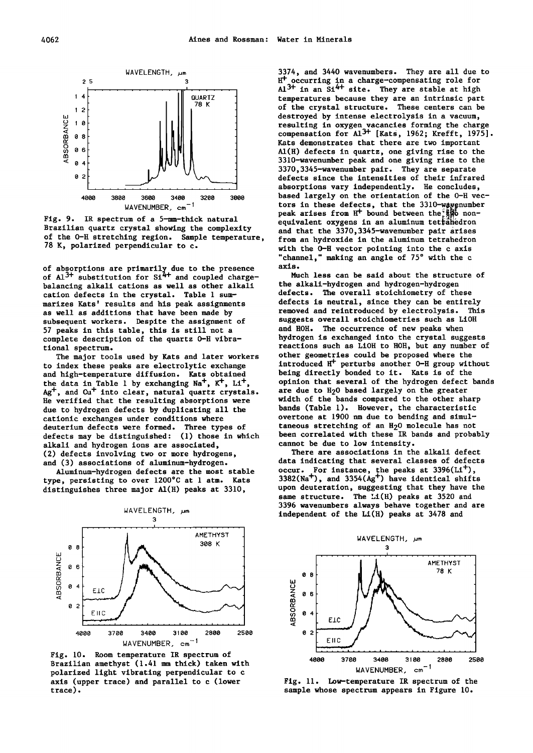

Fig. 9. IR spectrum of a 5-mm-thick natural Brazilian quartz crystal showing the complexity of the 0-H stretching region. Sample temperature, 78 K, polarized perpendicular to c.

of absorptions are primarily due to the presence of  $Al^{3+}$  substitution for  $Si^{4+}$  and coupled chargebalancing alkali cations as well as other alkali cation defects in the crystal. Table 1 summarizes Kats' results and his peak assignments as well as additions that have been made by subsequent workers. Despite the assignment of 57 peaks in this table, this is still not a complete description of the quartz 0-H vibrational spectrum.

The major tools used by Kats and later workers to index these peaks are electrolytic exchange and high-temperature diffusion. Kats obtained the data in Table 1 by exchanging Na<sup>+</sup>, K<sup>+</sup>, Li<sup>+</sup>,  $Ag^+$ , and  $Cu^+$  into clear, natural quartz crystals. He verified that the resulting absorptions were due to hydrogen defects by duplicating all the cationic exchanges under conditions where deuterium defects were formed. Three types of defects may be distinguished: (1) those in which alkali and hydrogen ions are associated, (2) defects involving two or more hydrogens, and (3) associations of aluminum-hydrogen.

Aluminum-hydrogen defects are the most stable type, persisting to over 1200°C at 1 atm. Kats distinguishes three major Al(H) peaks at 3310,



Fig. 10. Room temperature IR spectrum of Brazilian amethyst (1.41 mm thick) taken with polarized light vibrating perpendicular to c axis (upper trace) and parallel to c (lower trace).

3374, and 3440 wavenumbers. They are all due to  $H^+$  occurring in a charge-compensating role for occurring in a charge-compensating role for  $Al^{3+}$  in an S1<sup>4+</sup> site. They are stable at high temperatures because they are an intrinsic part of the crystal structure. These centers can be destroyed by intense electrolysis in a vacuum, resulting in oxygen vacancies forming the charge compensation for  $AI^{3+}$  [Kats, 1962; Krefft, 1975]. Kats demonstrates that there are two important Al(H) defects in quartz, one giving rise to the 3310-wavenumber peak and one giving rise to the 3370,3345-wavenumber pair. They are separate defects since the intensities of their infrared absorptions vary independently. He concludes, based largely on the orientation of the 0-H vectors in these defects, that the  $3310$ -way enumber peak arises from  $H^+$  bound between the  $\mathbb{R}^{\mathbb{N}}$  nonequivalent oxygens in an aluminum tetrahedron and that the 3370,3345-wavenumber pair arises from an hydroxide in the aluminum tetrahedron with the o-H vector pointing into the c axis "channel," making an angle of 75° with the c axis.

Much less can be said about the structure of the alkali-hydrogen and hydrogen-hydrogen defects. The overall stoichiometry of these defects is neutral, since they can be entirely removed and reintroduced by electrolysis. This suggests overall stoichiometries such as LiOH and HOH. The occurrence of new peaks when hydrogen is exchanged into the crystal suggests reactions such as LiOH to HOH, but any number of other geometries could be proposed where the introduced  $H^+$  perturbs another 0-H group without being directly bonded to it. Kats is of the opinion that several of the hydrogen defect bands are due to H<sub>2</sub>O based largely on the greater width of the bands compared to the other sharp bands (Table 1). However, the characteristic overtone at 1900 nm due to bending and simultaneous stretching of an H<sub>2</sub>0 molecule has not been correlated with these IR bands and probably cannot be due to low intensity.

There are associations in the alkali defect data indicating that several classes of defects occur. For instance, the peaks at  $3396(L1^+)$ ,  $3382(Na^+)$ , and  $3354(Ag^+)$  have identical shifts upon deuteration, suggesting that they have the same structure. The  $Li(H)$  peaks at 3520 and 3396 wavenumbers always behave together and are independent of the Li(H) peaks at 3478 and



Fig. 11. Low-temperature IR spectrum of the sample whose spectrum appears in Figure 10.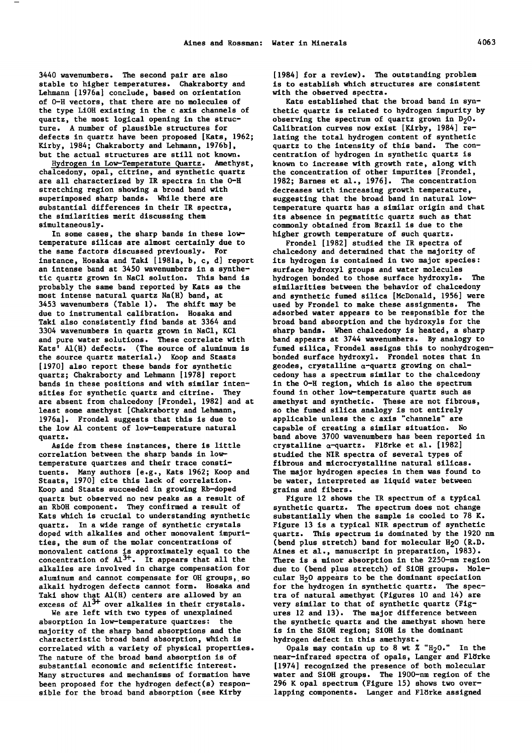3440 wavenumbers. The second pair are also stable to higher temperatures. Chakraborty and Lehmann [1976a] conclude, based on orientation of 0-H vectors, that there are no molecules of the type LiOH existing in the c axis channels of quartz, the most logical opening in the structure. A number of plausible structures for defects in quartz have been proposed [Kats, 1962; Kirby, 1984; Chakraborty and Lehmann, 1976b], but the actual structures are still not known.

Hydrogen in Low-Temperature quartz. Amethyst, chalcedony, opal, citrine, and synthetic quartz are all characterized by IR spectra in the 0-H stretching region showing a broad band with superimposed sharp bands. While there are substantial differences in their IR spectra, the similarities merit discussing them simultaneously.

In some cases, the sharp bands in these lowtemperature silicas are almost certainly due to the same factors discussed previously. For instance, Hosaka and Taki [1981a, b, c, d] report an intense band at 3450 wavenumbers in a synthetic quartz grown in NaCl solution. This band is probably the same band reported by Kats as the most intense natural quartz Na(H) band, at 3453 wavenumbers (Table 1). The shift may be due to instrumental calibration. Hosaka and Taki also consistently find bands at 3364 and 3304 wavenumbers in quartz grown in NaCl, KCl and pure water solutions. These correlate with Kats' Al(H) defects. (The source of aluminum is the source quartz material.) Koop and Staats [1970] also report these bands for synthetic quartz; Chakraborty and Lehmann [1978] report bands in these positions and with similar intensities for synthetic quartz and citrine. They are absent from chalcedony [Frondel, 1982] and at least some amethyst [Chakraborty and Lehmann, 1976a]. Frondel suggests that this is due to the low A1 content of low-temperature natural quartz.

Aside from these instances, there is little correlation between the sharp bands in lowtemperature quartzes and their trace constituents. Many authors [e.g., Kats 1962; Koop and Staats, 1970] cite this lack of correlation. Koop and Staats succeeded in growing Rb-doped quartz but observed no new peaks as a result of an RbOH component. They confirmed a result of Kats which is crucial to understanding synthetic quartz. In a wide range of synthetic crystals doped with alkalies and other monovalent impurities, the sum of the molar concentrations of monovalent cations is approximately equal to the concentration of  $A1^{3+}$ . It appears that all the alkalies are involved in charge compensation for<br>aluminum and cannot compensate for OH groups, so alkali hydrogen defects cannot form. Hosaka and Taki show that Al(H) centers are allowed by an excess of Al<sup>3+</sup> over alkalies in their crystals.

We are left with two types of unexplained absorption in low-temperature quartzes: the majority of the sharp band absorptions and the characteristic broad band absorption, which is correlated with a variety of physical properties. The nature of the broad band absorption is of substantial economic and scientific interest. Many structures and mechanisms of formation have been proposed for the hydrogen defect(s) responsible for the broad band absorption (see Kirby

[1984] for a review). The outstanding problem is to establish which structures are consistent with the observed spectra.

Kats established that the broad band in synthetic quartz is related to hydrogen impurity by observing the spectrum of quartz grown in  $D_2O$ . Calibration curves now exist [Kirby, 1984] relating the total hydrogen content of synthetic<br>quartz to the intensity of this band. The concentration of hydrogen in synthetic quartz is known to increase with growth rate, along with the concentration of other impurites [Fronde!, 1982; Barnes et al., 1976]. The concentration decreases with increasing growth temperature, suggesting that the broad band in natural lowtemperature quartz has a similar origin and that its absence in pegmatitic quartz such as that commonly obtained from Brazil is due to the higher growth temperature of such quartz.

Fronde! [1982] studied the IR spectra of chalcedony and determined that the majority of its hydrogen is contained in two major species: surface hydroxyl groups and water molecules hydrogen bonded to those surface hydroxyls. The similarities between the behavior of chalcedony and synthetic fumed silica [McDonald, 1956] were used by Frondel to make these assignments. The adsorbed water appears to be responsible for the broad band absorption and the hydroxyls for the sharp bands. When chalcedony is heated, a sharp band appears at 3744 wavenumbers. By analogy to fumed silica, Frondel assigns this to nonhydrogenbonded surface hydroxyl. Frondel notes that in geodes, crystalline  $\alpha$ -quartz growing on chalcedony has a spectrum similar to the chalcedony in the 0-H region, which is also the spectrum found in other low-temperature quartz such as amethyst and synthetic. These are not fibrous, so the fumed silica analogy is not entirely applicable unless the c axis "channels" are capable of creating a similar situation. No band above 3700 wavenumbers has been reported in crystalline  $\alpha$ -quartz. Flörke et al. [1982] studied the NIR spectra of several types of fibrous and microcrystalline natural silicas. The major hydrogen species in them was found to be water, interpreted as liquid water between grains and fibers.

Figure 12 shows the IR spectrum of a typical synthetic quartz. The spectrum does not change substantially when the sample is cooled to 78 K. Figure 13 is a typical NIR spectrum of synthetic quartz. This spectrum is dominated by the 1920 nm (bend plus stretch) band for molecular  $H<sub>2</sub>O$  (R.D. Aines et al., manuscript in preparation, 1983). There is a minor absorption in the 2250-nm region due to (bend plus stretch) of SiOH groups. Molecular H<sub>2</sub>0 appears to be the dominant speciation for the hydrogen in synthetic quartz. The spectra of natural amethyst (Figures 10 and 14) are very similar to that of synthetic quartz (Figures 12 and 13). The major difference between the synthetic quartz and the amethyst shown here is in the SiOH region; SiOH is the dominant hydrogen defect in this amethyst.

Opals may contain up to 8 wt  $\frac{x}{100}$ ." In the near-infrared spectra of opals, Langer and Flörke [1974] recognized the presence of both molecular water and SiOH groups. The 1900-nm region of the 296 K opal spectrum (Figure 15) shows two overlapping components. Langer and Flörke assigned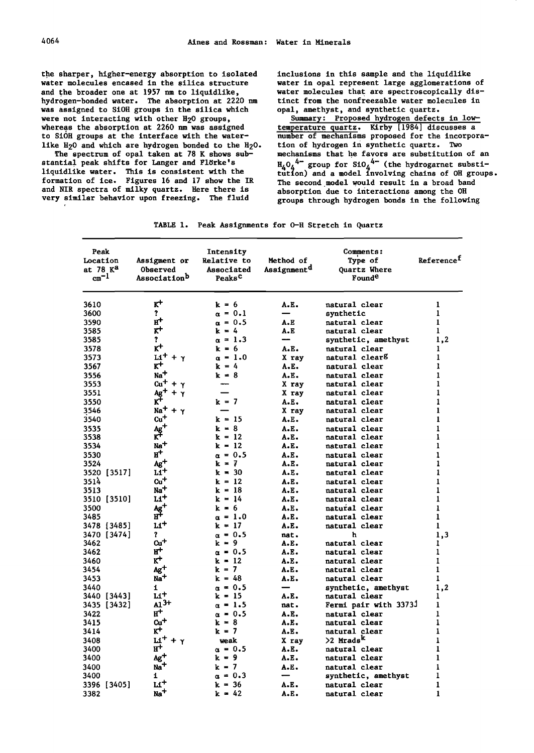the sharper, higher-energy absorption to isolated water molecules encased in the silica structure and the broader one at 1957 nm to liquidlike, hydrogen-bonded water. The absorption at 2220 nm was assigned to SiOH groups in the silica which were not interacting with other H<sub>2</sub>O groups, whereas the absorption at 2260 nm was assigned to SiOH groups at the interface with the waterlike H<sub>2</sub>0 and which are hydrogen bonded to the H<sub>2</sub>0.

The spectrum of opal taken at 78 K shows substantial peak shifts for Langer and Flörke's liquidlike water. This is consistent with the formation of ice. Figures 16 and 17 show the IR and NIR spectra of milky quartz. Here there is very similar behavior upon freezing. The fluid

inclusions in this sample and the liquidlike water in opal represent large agglomerations of water molecules that are spectroscopically distinct from the nonfreezable water molecules in opal, amethyst, and synthetic quartz.

Summary: Proposed hydrogen defects in lowtemperature quartz. Kirby [1984] discusses a number of mechanisms proposed for the incorporation of hydrogen in synthetic quartz. Two mechanisms that he favors are substitution of an  $H_4O_4$ <sup>4-</sup> group for S10<sub>4</sub><sup>4-</sup> (the hydrogarnet substi-<br>tution) and a model involving chains of OH groups. The second model would result in a broad band absorption due to interactions among the OH groups through hydrogen bonds in the following

|  |  | TABLE 1. Peak Assignments for O-H Stretch in Quartz |  |  |  |  |  |
|--|--|-----------------------------------------------------|--|--|--|--|--|
|--|--|-----------------------------------------------------|--|--|--|--|--|

| Peak<br>Location<br>at 78 K <sup>a</sup><br>$cm^{-1}$ | Assigment or<br>Observed<br>Association <sup>D</sup> | Intensity<br><b>Relative to</b><br>Associated<br>Peaks <sup>C</sup> | <b>Method of</b><br>Assignment <sup>d</sup> | <b>Comments:</b><br>Type of<br><b>Quartz Where</b><br><b>Found<sup>e</sup></b> | Referencef   |
|-------------------------------------------------------|------------------------------------------------------|---------------------------------------------------------------------|---------------------------------------------|--------------------------------------------------------------------------------|--------------|
| 3610                                                  | ĸ۲                                                   | $k = 6$                                                             | A.E.                                        | natural clear                                                                  | 1            |
| 3600                                                  | ?                                                    | $\alpha = 0.1$                                                      |                                             | synthetic                                                                      | 1            |
| 3590                                                  | $^{\rm H+}$                                          | $\alpha = 0.5$                                                      | A.E                                         | natural clear                                                                  | $\mathbf{1}$ |
| 3585                                                  | $\kappa$ +                                           | $k = 4$                                                             | A.E                                         | natural clear                                                                  | 1            |
| 3585                                                  | T.                                                   | $\alpha = 1.3$                                                      |                                             | synthetic, amethyst                                                            | 1,2          |
| 3578                                                  | $K^+$                                                | $k = 6$                                                             | A.E.                                        | natural clear                                                                  | 1            |
| 3573                                                  | $Li^+ + \gamma$                                      | $\alpha = 1.0$                                                      | X ray                                       | natural clear <sup>g</sup>                                                     | 1            |
| 3567                                                  | $\kappa^+$                                           | $k = 4$                                                             | A.E.                                        | natural clear                                                                  | 1            |
| 3556                                                  | Na <sup>+</sup>                                      | $k = 8$                                                             | A.E.                                        | natural clear                                                                  | 1            |
| 3553                                                  | $c_{\mathbf{u}}$ +<br>$+ \gamma$                     |                                                                     | X ray                                       | natural clear                                                                  | 1            |
| 3551                                                  | Ag+<br>Y                                             |                                                                     | X ray                                       | natural clear                                                                  | 1            |
| 3550                                                  | ĸt                                                   | $k = 7$                                                             | A.E.                                        | natural clear                                                                  | 1            |
| 3546                                                  | Na <sup>+</sup><br>+<br>$\mathbf{Y}$                 |                                                                     | X ray                                       | natural clear                                                                  | $\mathbf{I}$ |
| 3540                                                  | $\mathbf{c} \mathbf{u}^+$                            | $k = 15$                                                            | A.E.                                        | natural clear                                                                  | ı            |
| 3535                                                  | $Ag^+$                                               | $k = 8$                                                             | A.E.                                        | natural clear                                                                  | 1            |
| 3538                                                  | ĸŦ                                                   | k = 12                                                              | A.E.                                        | natural clear                                                                  | 1            |
| 3534                                                  | Na <sup>+</sup>                                      | $k = 12$                                                            | A.E.                                        | natural clear                                                                  | ı            |
| 3530                                                  | и+                                                   | $\alpha = 0.5$                                                      | A.E.                                        | natural clear                                                                  | ı            |
| 3524                                                  | $Ag^+$                                               | $k = 7$                                                             | A.E.                                        | natural clear                                                                  | 1            |
| 3520 [3517]                                           | $L1$ <sup>+</sup>                                    | $k = 30$                                                            | A.E.                                        | natural clear                                                                  | 1            |
| 3514                                                  | $c_{u}$ +                                            | $k = 12$                                                            | A.E.                                        | natural clear                                                                  | 1            |
| 3513                                                  | $Na+$<br>L1+                                         | $k = 18$                                                            | A.E.                                        | natural clear                                                                  | 1            |
| 3510 [3510]                                           |                                                      | $k = 14$                                                            | A.E.                                        | natural clear                                                                  | 1            |
| 3500<br>3485                                          | $Ag+$<br>$H_+$                                       | k = 6<br>$\alpha = 1.0$                                             | A.E.<br>A.E.                                | natural clear<br>natural clear                                                 | 1<br>ı       |
|                                                       | li†                                                  | k = 17                                                              | A.E.                                        | natural clear                                                                  | 1            |
| 3478 [3485]<br>3470 [3474]                            | Ĩ.                                                   | $\alpha = 0.5$                                                      | nat.                                        | h                                                                              |              |
| 3462                                                  | Cu <sup>+</sup>                                      | $k = 9$                                                             | A.E.                                        | natural clear                                                                  | 1,3<br>1     |
| 3462                                                  | $\texttt{H}^+$                                       | $\alpha = 0.5$                                                      | A.E.                                        | natural clear                                                                  | $\mathbf{1}$ |
| 3460                                                  | ĸ+                                                   | k = 12                                                              | A.E.                                        | natural clear                                                                  | $\mathbf{I}$ |
| 3454                                                  | $Ag+$                                                | $k = 7$                                                             | A.E.                                        | natural clear                                                                  | $\mathbf{1}$ |
| 3453                                                  | $Na+$                                                | k = 48                                                              | A.E.                                        | natural clear                                                                  | 1            |
| 3440                                                  | i                                                    | $\alpha = 0.5$                                                      |                                             | synthetic, amethyst                                                            | 1,2          |
| 3440 [3443]                                           | $Li+$                                                | k = 15                                                              | A.E.                                        | natural clear                                                                  | 1            |
| 3435 [3432]                                           | $A1^{3+}$                                            | $\alpha = 1.5$                                                      | nat.                                        | <b>Fermi pair with 3373J</b>                                                   | ı            |
| 3422                                                  | $H^+$                                                | $\alpha = 0.5$                                                      | A.E.                                        | natural clear                                                                  | 1            |
| 3415                                                  | $c_{u}$ +                                            | k = 8                                                               | A.E.                                        | natural clear                                                                  | $\mathbf{1}$ |
| 3414                                                  | $K^+$                                                | k = 7                                                               | A.E.                                        | natural clear                                                                  | 1            |
| 3408                                                  | $\mathbf{u}^+$                                       | weak                                                                | X ray                                       | >2 Mrads <sup>K</sup>                                                          | $\mathbf{1}$ |
| 3400                                                  | н+                                                   | $\alpha = 0.5$                                                      | A.E.                                        | natural clear                                                                  | 1            |
| 3400                                                  | Ag†                                                  | k = 9                                                               | A.E.                                        | natural clear                                                                  | $\mathbf{I}$ |
| 3400                                                  | Na <sup>T</sup>                                      | k = 7                                                               | A.E.                                        | natural clear                                                                  | $\mathbf{1}$ |
| 3400                                                  | 1                                                    | $\alpha$ = 0.3                                                      |                                             | synthetic, amethyst                                                            | 1            |
| 3396 [3405]                                           | $\mathbf{H}^+$                                       | $k = 36$                                                            | А.Е.                                        | natural clear                                                                  | 1            |
| 3382                                                  | $Na+$                                                | $k = 42$                                                            | А.Е.                                        | natural clear                                                                  | 1            |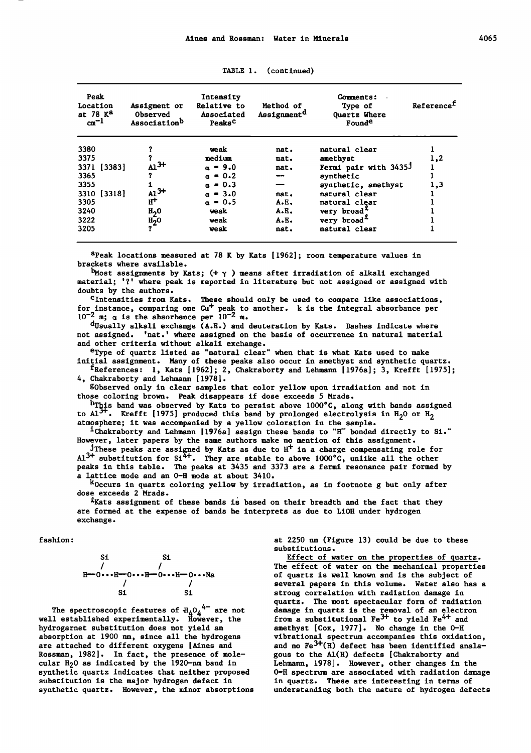| Peak<br>Location<br>at 78 K <sup>a</sup><br>$cm^{-1}$ | Assigment or<br>Observed<br>Associationb | Intensity<br>Relative to<br>Associated<br>Peaks <sup>C</sup> | Method of<br>Assignment <sup>d</sup> | Comments:<br>Type of<br>Quartz Where<br>Founde | Reference <sup>f</sup> |
|-------------------------------------------------------|------------------------------------------|--------------------------------------------------------------|--------------------------------------|------------------------------------------------|------------------------|
| 3380                                                  |                                          | weak                                                         | nat.                                 | natural clear                                  |                        |
| 3375                                                  |                                          | medium                                                       | nat.                                 | amethyst                                       | 1,2                    |
| 3371 [3383]                                           | ${\rm Al}^{3+}$                          | $\alpha = 9.0$                                               | nat.                                 | Fermi pair with 3435J                          |                        |
| 3365                                                  |                                          | $\alpha = 0.2$                                               | --                                   | synthetic                                      |                        |
| 3355                                                  |                                          | $\alpha = 0.3$                                               | -                                    | synthetic, amethyst                            | 1,3                    |
| 3310 [3318]                                           | $\frac{1}{H^{+}}^{3+}$                   | $\alpha = 3.0$                                               | nat.                                 | natural clear                                  |                        |
| 3305                                                  |                                          | $\alpha = 0.5$                                               | A.E.                                 | natural clear                                  |                        |
| 3240                                                  | $_{12}^{\mathrm{H}}$                     | weak                                                         | A.E.                                 | very broad <sup>4</sup>                        |                        |
| 3222                                                  |                                          | weak                                                         | A.E.                                 | very broad <sup>x</sup>                        |                        |
| 3205                                                  | $\frac{H_2^-O}{?}$                       | weak                                                         | nat.                                 | natural clear                                  |                        |

TABLE 1. (continued}

aPeak locations measured at 78 K by Kats [1962]; room temperature values in brackets where available.

 $^{b}$ Most assignments by Kats; (+  $\gamma$ ) means after irradiation of alkali exchanged material; '?' where peak is reported in literature but not assigned or assigned with doubts by the authors.

Cintensities from Kats. These should only be used to compare like associations, for instance, comparing one cu+ peak to another. k is the integral absorbance per  $10^{-2}$  m;  $\alpha$  is the absorbance per  $10^{-2}$  m.

 $d$ Usually alkali exchange  $(A, E, )$  and deuteration by Kats. Dashes indicate where not assigned. 'nat.' where assigned on the basis of occurrence in natural material and other criteria without alkali exchange.

eType of quartz listed as ''natural clear" when that is what Kats used to make initial assignment. Many of these peaks also occur in amethyst and synthetic quartz.

fReferences: 1, Kats [1962]; 2, Chakraborty and Lehmann [1976a]; 3, Krefft [1975]; 4, Chakraborty and Lehmann [1978].

gobserved only in clear samples that color yellow upon irradiation and not in those coloring brown. Peak disappears if dose exceeds 5 Mrads.

 $^{\rm h}$ This band was observed by Kats to persist above 1000°C, along with bands assigned to Al<sup>3+</sup>. Krefft [1975] produced this band by prolonged electrolysis in H<sub>2</sub>O or H<sub>2</sub> atmosphere; it was accompanied by a yellow coloration in the sample. atmosphere; it was accompanied by a yellow coloration in the sample.<br><sup>1</sup>Chakraborty and Lehmann [1976a] assign these bands to "H" bonded directly to Si."

However, later papers by the same authors make no mention of this assignment.

<sup>j</sup>These peaks are assigned by Kats as due to  $H^+$  in a charge compensating role for  $A1^{3+}$  substitution for Si<sup>4+</sup>. They are stable to above  $1000^{\circ}$ C, unlike all the other peaks in this table. The peaks at 3435 and 3373 are a fermi resonance pair formed by a lattice mode and an 0-H mode at about 3410.

koccurs in quartz coloring yellow by irradiation, as in footnote g but only after dose exceeds 2 Mrads.

 $k$ Kats assignment of these bands is based on their breadth and the fact that they are formed at the expense of bands he interprets as due to LiOH under hydrogen exchange.

fashion:

S  
\n
$$
\begin{array}{cc}\n & \text{Si} \\
\hline\n / & \text{O} \\
\text{H}\n \end{array}
$$
\n
$$
\begin{array}{cc}\n & \text{Si} \\
\text{H}\n \end{array}
$$
\n
$$
\begin{array}{cc}\n & \text{Si} \\
& \text{Si} \\
& \text{Si}\n \end{array}
$$

The spectroscopic features of  $H_A O_A^{4-}$  are not well established experimentally. However, the hydrogarnet substitution does not yield an absorption at 1900 nm, since all the hydrogens are attached to different oxygens [Aines and Rossman, 1982]. In fact, the presence of molecular H<sub>2</sub>0 as indicated by the 1920-nm band in synthetic quartz indicates that neither proposed substitution is the major hydrogen defect in synthetic quartz. However, the minor absorptions

at 2250 nm (Figure 13) could be due to these substitutions.

Effect of water on the properties of quartz. The effect of water on the mechanical properties of quartz is well known and is the subject of several papers in this volume. Water also has a strong correlation with radiation damage in quartz. The most spectacular form of radiation damage in quartz is the removal of an electron from a substitutional Fe<sup>3+</sup> to yield Fe<sup>4+</sup> and amethyst [Cox, 1977]. No change in the 0-H vibrational spectrum accompanies this oxidation, and no  $Fe^{3+}(H)$  defect has been identified analagous to the Al(H) defects [Chakraborty and Lehmann, 1978]. However, other changes in the o-H spectrum are associated with radiation damage in quartz. These are interesting in terms of understanding both the nature of hydrogen defects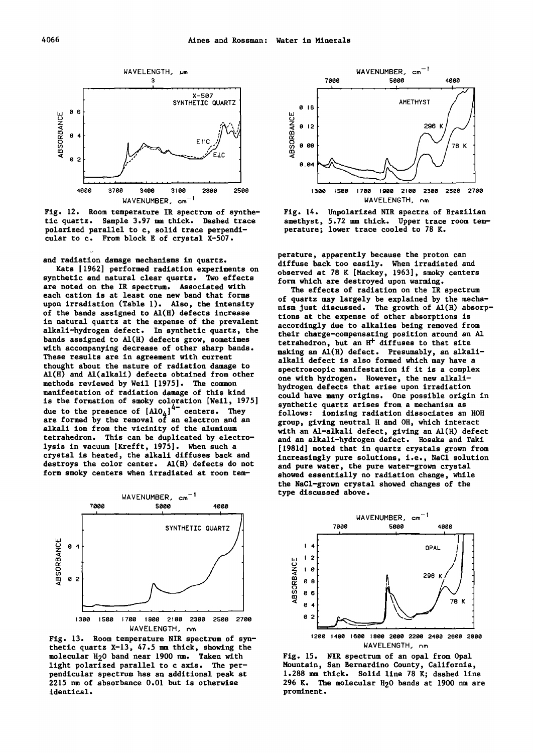



and radiation damage mechanisms in quartz.

Kats [1962] performed radiation experiments on synthetic and natural clear quartz. Two effects are noted on the IR spectrum. Associated with each cation is at least one new band that forms upon irradiation (Table 1). Also, the intensity of the bands assigned to Al(H) defects increase in natural quartz at the expense of the prevalent alkali-hydrogen defect. In synthetic quartz, the bands assigned to Al(H) defects grow, sometimes with accompanying decrease of other sharp bands. These results are in agreement with current thought about the nature of radiation damage to Al(H) and Al(alkali) defects obtained from other methods reviewed by Weil [1975]. The common manifestation of radiation damage of this kind is the formation of smoky coloration [Weil, 1975] due to the presence of  $[A10<sub>4</sub>]<sup>4-</sup>$  centers. They are formed by the removal of an electron and an alkali ion from the vicinity of the aluminum tetrahedron. This can be duplicated by electrolysis in vacuum [Krefft, 1975]. When such a crystal is heated, the alkali diffuses back and destroys the color center. Al(H) defects do not form smoky centers when irradiated at room tem-



Fig. 13. Room temperature NIR spectrum of synthetic quartz X-13, 47.5 mm thick, showing the molecular H20 band near 1900 nm. Taken with light polarized parallel to c axis. The perpendicular spectrum has an additional peak at 2215 nm of absorbance 0.01 but is otherwise identical.





perature, apparently because the proton can diffuse back too easily. When irradiated and observed at 78 K [Mackey, 1963], smoky centers form which are destroyed upon warming.

The effects of radiation on the IR spectrum of quartz may largely be explained by the mechanism just discussed. The growth of Al(H) absorptions at the expense of other absorptions is accordingly due to alkalies being removed from their charge-compensating position around an A1 tetrahedron, but an  $H^+$  diffuses to that site making an Al(H) defect. Presumably, an alkalialkali defect is also formed which may have a spectroscopic manifestation if it is a complex one with hydrogen. However, the new alkalihydrogen defects that arise upon irradiation could have many origins. One possible origin in synthetic quartz arises from a mechanism as follows: ionizing radiation dissociates an HOH group, giving neutral H and OH, which interact with an Al-alkali defect, giving an Al(H) defect and an alkali-hydrogen defect. Hosaka and Taki [1981d] noted that in quartz crystals grown from increasingly pure solutions, i.e., NaCl solution and pure water, the pure water-grown crystal showed essentially no radiation change, while the NaCl-grown crystal showed changes of the type discussed above.



Fig. 15. NIR spectrum of an opal from Opal Mountain, San Bernardino County, California, 1.288 mm thick. Solid line 78 K; dashed line 296 K. The molecular H20 bands at 1900 nm are prominent.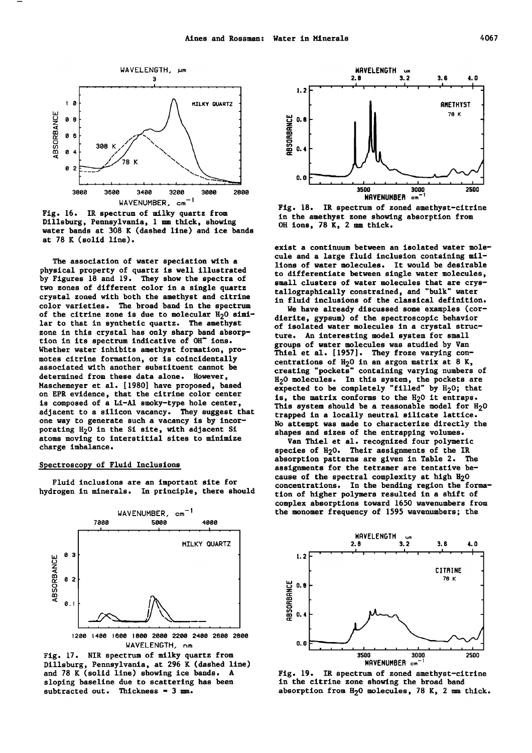

Fig. 16. IR spectrum of milky quartz from Dillsburg, Pennsylvania, 1 mm thick, showing water bands at 308 K (dashed line) and ice bands at 78 K (solid line).

The association of water speciation with a physical property of quartz is well illustrated by Figures 18 and 19. They show the spectra of two zones of different color in a single quartz crystal zoned with both the amethyst and citrine color varieties. The broad band in the spectrum of the citrine zone is due to molecular  $H<sub>2</sub>O$  similar to that in synthetic quartz. The amethyst zone in this crystal has only sharp band absorption in its spectrum indicative of OH- ions. Whether water inhibits amethyst formation, promotes citrine formation, or is coincidentally associated with another substituent cannot be determined from these data alone. However, Maschemeyer et al. [1980] have proposed, based on EPR evidence, that the citrine color center is composed of a Li-Al smoky-type hole center, adjacent to a silicon vacancy. They suggest that one way to generate such a vacancy is by incorporating H<sub>2</sub>O in the Si site, with adjacent Si atoms moving to interstitial sites to minimize charge imbalance.

# Spectroscopy of Fluid Inclusions

Fluid inclusions are an important site for hydrogen in minerals. In principle, there should



IJAVELENGTH, nm Fig. 17. NIR spectrum of milky quartz from

Dillsburg, Pennsylvania, at 296 K (dashed line) and 78 K (solid line) showing ice bands. A sloping baseline due to scattering has been subtracted out. Thickness =  $3 \text{ ms}$ .



Fig. 18. IR spectrum of zoned amethyst-citrine in the amethyst zone showing absorption from OH ions, 78 K, 2 mm thick.

exist a continuum between an isolated water molecule and a large fluid inclusion containing millions of water molecules. It would be desirable to differentiate between single water molecules, small clusters of water molecules that are crystallographically constrained, and "bulk" water in fluid inclusions of the classical definition.

We have already discussed some examples (cordierite, gypsum) of the spectroscopic behavior of isolated water molecules in a crystal structure. An interesting model system for small groups of water molecules was studied by Van Thiel et al. [1957]. They froze varying concentrations of  $H<sub>2</sub>0$  in an argon matrix at 8 K, creating "pockets" containing varying numbers of H<sub>2</sub>O molecules. In this system, the pockets are expected to be completely "filled" by  $H_2O$ ; that is, the matrix conforms to the H<sub>2</sub>O it entraps. This system should be a reasonable model for  $H_2O$ trapped in a locally neutral silicate lattice. No attempt was made to characterize directly the shapes and sizes of the entrapping volumes.

Van Thiel et al. recognized four polymeric species of H<sub>2</sub>0. Their assignments of the IR absorption patterns are given in Table 2. The assignments for the tetramer are tentative because of the spectral complexity at high H<sub>2</sub>O concentrations. In the bending region the formation of higher polymers resulted in a shift of complex absorptions toward 1650 wavenumbers from the monomer frequency of 1595 wavenumbers; the



Fig. 19. IR spectrum of zoned amethyst-citrine in the citrine zone showing the broad band absorption from  $H<sub>2</sub>0$  molecules, 78 K, 2 mm thick.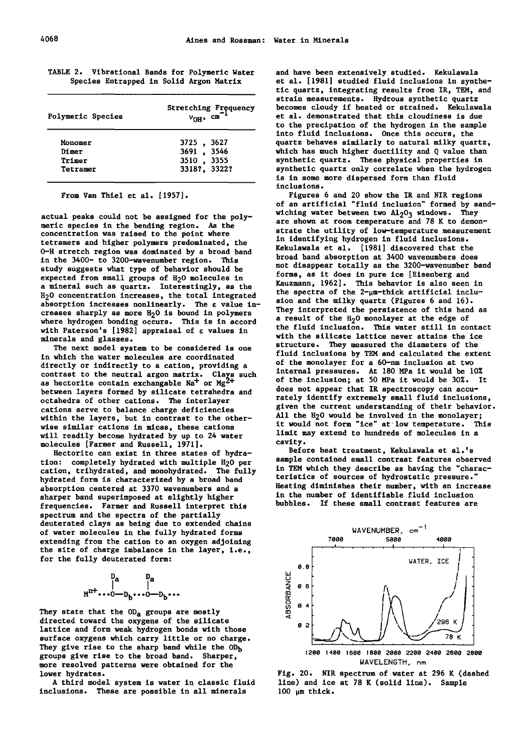| TABLE 2. |  | Vibrational Bands for Polymeric Water   |
|----------|--|-----------------------------------------|
|          |  | Species Entrapped in Solid Argon Matrix |

| Polymeric Species | Stretching Frequency<br>$v_{OH}$ , cm <sup>-1</sup> |  |  |
|-------------------|-----------------------------------------------------|--|--|
| Monomer           | 3725, 3627                                          |  |  |
| Dimer             | 3691, 3546                                          |  |  |
| Trimer            | 3510, 3355                                          |  |  |
| Tetramer          | 3318?, 3322?                                        |  |  |

From Van Thiel et al. (1957].

actual peaks could not be assigned for the polymeric species in the bending region. As the concentration was raised to the point where tetramers and higher polymers predominated, the o-H stretch region was dominated by a broad band in the 3400- to 3200-wavenumber region. This study suggests what type of behavior should be expected from small groups of  $H_2O$  molecules in a mineral such as quartz. Interestingly, as the H20 concentration increases, the total integrated absorption increases nonlinearly. The  $\varepsilon$  value increases sharply as more  $H_2O$  is bound in polymers where hydrogen bonding occurs. This is in accord with Paterson's [1982] appraisal of  $\varepsilon$  values in minerals and glasses.

The next model system to be considered is one in which the water molecules are coordinated directly or indirectly to a cation, providing a contrast to the neutral argon matrix. Clays such as hectorite contain exchangable  $\text{Na}^+$  or  $\text{Mg}^2$ between layers formed by silicate tetrahedra and octahedra of other cations. The interlayer cations serve to balance charge deficiencies within the layers, but in contrast to the otherwise similar cations in micas, these cations will readily become hydrated by up to 24 water molecules (Farmer and Russell, 1971].

Hectorite can exist in three states of hydration: completely hydrated with multiple H<sub>2</sub>O per cation, trihydrated, and monohydrated. The fully hydrated form is characterized by a broad band absorption centered at 3370 wavenumbers and a sharper band superimposed at slightly higher frequencies. Farmer and Russell interpret this spectrum and the spectra of the partially deuterated clays as being due to extended chains of water molecules in the fully hydrated forms extending from the cation to an oxygen adjoining the site of charge imbalance in the layer, i.e., for the fully deuterated form:

$$
\begin{array}{cc} & D_a & D_a \\ | & | & \\ M^{n+ \ldots 0} \!\!-\! D_b \cdots 0 \!\!-\! D_b \cdots \end{array}
$$

They state that the  $OD<sub>a</sub>$  groups are mostly directed toward the oxygene of the silicate lattice and form weak hydrogen bonds with those surface oxygene which carry little or no charge. They give rise to the sharp band while the  $OD<sub>b</sub>$ groups give rise to the broad band. Sharper, more resolved patterns were obtained for the lower hydrates.

A third model system is water in classic fluid inclusions. These are possible in all minerals

and have been extensively studied. Kekulawala et al. (1981] studied fluid inclusions in synthetic quartz, integrating results from IR, TEM, and strain measurements. Hydrous synthetic quartz becomes cloudy if heated or strained. Kekulawala et al. demonstrated that this cloudiness is due to the precipation of the hydrogen in the sample into fluid inclusions. Once this occurs, the quartz behaves similarly to natural milky quartz, which has much higher ductility and Q value than synthetic quartz. These physical properties in synthetic quartz only correlate when the hydrogen is in some more dispersed form than fluid inclusions.

Figures 6 and 20 show the IR and NIR regions of an artificial "fluid inclusion" formed by sandwiching water between two  $\Delta\mathbb{1}_2$ O<sub>3</sub> windows. They are shown at room temperature and 78 K to demonstrate the utility of low-temperature measurement in identifying hydrogen in fluid inclusions. Kekulawala et al. (1981] discovered that the broad band absorption at 3400 wavenumbers does not disappear totally as the 3200-wavenumber band forms, as it does in pure ice (Eisenberg and Kauzmann, 1962]. This behavior is also seen in the spectra of the  $2$ - $\mu$ m-thick artificial inclusion and the milky quartz (Figures 6 and 16). They interpreted the persistence of this band as a result of the  $H_20$  monolayer at the edge of the fluid inclusion. This water still in contact with the silicate lattice never attains the ice structure. They measured the diameters of the fluid inclusions by TEM and calculated the extent of the monolayer for a 60-nm inclusion at two internal pressures. At 180 MPa it would be 10% of the inclusion; at 50 MPa it would be 30%. It does not appear that IR spectroscopy can accurately identify extremely small fluid inclusions, given the current understanding of their behavior. All the H<sub>2</sub>O would be involved in the monolayer; it would not form "ice" at·low temperature. This limit may extend to hundreds of molecules in a cavity.

Before heat treatment, Kekulawala et al.'s sample contained small contrast features observed in TEM which they describe as having the "characteristics of sources of hydrostatic pressure." Heating diminishes their number, with an increase in the number of identifiable fluid inclusion bubbles. If these small contrast features are



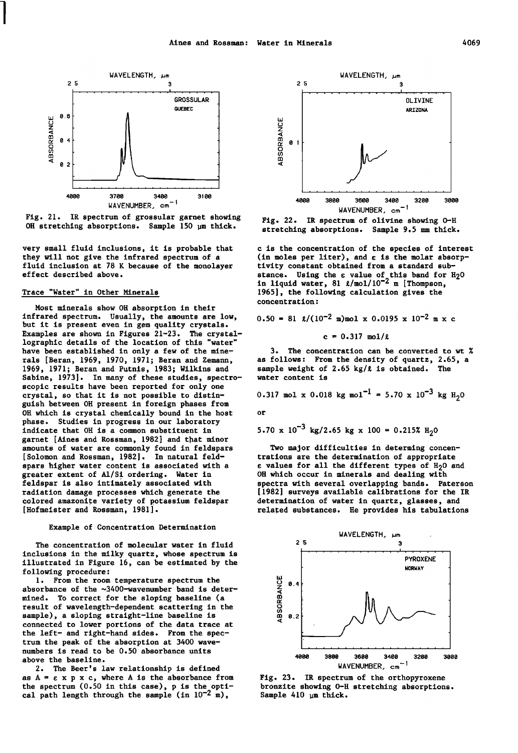

Fig. 21. IR spectrum of grossular garnet showing OH stretching absorptions. Sample 150 pm thick.

very small fluid inclusions, it is probable that they will not give the infrared spectrum of a fluid inclusion at 78 K because of the monolayer effect described above.

## Trace "Water" in Other Minerals

 $\begin{array}{c} \hline \end{array}$ 

Most minerals show OH absorption in their infrared spectrum. Usually, the amounts are low, but it is present even in gem quality crystals. Examples are shown in Figures 21-23. The crystallographic details of the location of this "water" have been established in only a few of the minerals [Beran, 1969, 1970, 1971; Beran and Zemann, 1969, 1971; Beran and Putnis, 1983; Wilkins and Sabine, 1973]. In many of these studies, spectroscopic results have been reported for only one crystal, so that it is not possible to distinguish between OH present in foreign phases from OH which is crystal chemically bound in the host phase. Studies in progress in our laboratory indicate that OH is a common substituent in garnet [Aines and Rossman, 1982] and that minor amounts of water are commonly found in feldspars [Solomon and Rossman, 1982]. In natural feldspars higher water content is associated with a greater extent of Al/Si ordering. Water in feldspar is also intimately associated with radiation damage processes which generate the colored amazonite variety of potassium feldspar [Hofmeister and Rossman, 1981].

## Example of Concentration Determination

The concentration of molecular water in fluid inclusions in the milky quartz, whose spectrum is illustrated in Figure 16, can be estimated by the following procedure:

1. From the room temperature spectrum the absorbance of the ~3400-wavenumber band is determined. To correct for the sloping baseline (a result of wavelength-dependent scattering in the sample), a sloping straight-line baseline is connected to lower portions of the data trace at the left- and right-hand sides. From the spectrum the peak of the absorption at 3400 wavenumbers is read to be 0.50 absorbance units above the baseline.

2. The Beer's law relationship is defined as  $A = \varepsilon$  x p x c, where A is the absorbance from the spectrum (0.50 in this case), p is the optical path length through the sample (in  $10^{-2}$  m),



Fig. 22. IR spectrum of olivine showing o-H stretching absorptions. Sample 9,5 mm thick.

c is the concentration of the species of interest (in moles per liter), and  $\varepsilon$  is the molar absorptivity constant obtained from a standard substance. Using the  $\varepsilon$  value of this band for  $H_2O$ in liquid water, 81  $\ell$ /mol/10<sup>-2</sup> m [Thompson, 1965], the following calculation gives the concentration:

$$
0.50 = 81 \text{ g}/(10^{-2} \text{ m})\text{mol} \times 0.0195 \times 10^{-2} \text{ m} \times \text{c}
$$

 $c = 0.317$  mol/ $\ell$ 

3. The concentration can be converted to wt % as follows: From the density of quartz, 2.65, a sample weight of  $2.65$  kg/ $\ell$  is obtained. The water content is

0.317 mol x 0.018 kg mol-l = 5.70 x 10-3 kg H2 o

or

$$
5.70 \times 10^{-3}
$$
 kg/2.65 kg x 100 = 0.215% H<sub>2</sub>0

Two major difficulties in determing concentrations are the determination of appropriate  $\epsilon$  values for all the different types of  $H_2O$  and OH which occur in minerals and dealing with spectra with several overlapping bands. Paterson [1982] surveys available calibrations for the IR determination of water in quartz, glasses, and related substances. He provides his tabulations



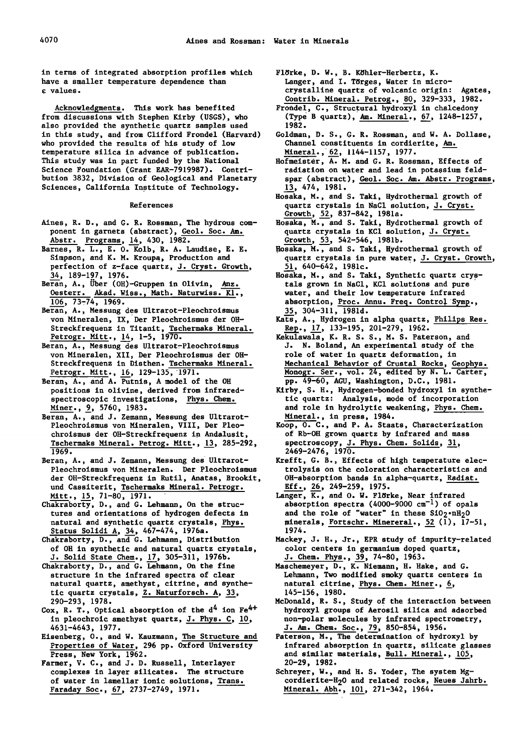in terms of integrated absorption profiles which have a smaller temperature dependence than e: values.

Acknowledgments. This work has benefited from discussions with Stephen Kirby (USGS), who a!so provided the synthetic quartz samples used in this study, and from Clifford Frondel (Harvard) who provided the results of his study of low temperature silica in advance of publication. This study was in part funded by the National Science Foundation (Grant EAR-7919987). Contribution 3832, Division of Geological and Planetary Sciences, California Institute of Technology.

References

- Aines, R. D., and G. R. Rossman, The hydrous com- ponent in garnets (abstract), Geol. Soc. Am. Abstr. Programs, 14, 430, 1982.
- Barnes, R. L., E. 0. Kolb, R. A. Laudise, E. E. Simpson, and K. M. Kroupa, Production and perfection of z-face quartz, J. Cryst. Growth, 34, 189-197, 1976.
- Beran, A., Uber (OH)-Gruppen in Olivin, Anz. Oesterr. Akad. Wiss., Math. Naturwiss. Kl.,  $\overline{106}$ , 73-74, 1969.
- Beran, A., Messung des Ultrarot-Pleochroismus von Mineralen, IX, Der Pleochroismus der OH-Streckfrequenz in Titanit, Tschermaks 'Mineral. Petrogr. Mitt.,  $14$ ,  $1-5$ ,  $1970$ .
- Beran, A., Messung des Ultrarot-Pleochroismus von Mineralen, XII, Der Pleochroismus der OH-Streckfrequenz in Disthen. Tschermaks Mineral. Petrogr. Mitt., 16, 129-135, 1971.
- Beran, A., and A. Putnis, A model of the OH positions in olivine, derived from infraredspectroscopic investigations, Phys. Chem. Miner., 9, 5760, 1983.
- Beran, A., and J. Zemann, Messung des Ultrarot-Pleochroismus von Mineralen, VIII, Der Pleochroismus der OH-Streckfrequenz in Andalusit, Tschermaks Mineral. Petrog. Mitt., 13, 285-292, 1969.
- Beran, A., and J. Zemann, Messung des Ultrarot-Pleochroismus von Mineralen. Der Pleochroismus der OH-Streckfrequenz in Rutil, Anatas, Brookit, und Cassiterit, Tschermaks Mineral. Petrogr.<br>Mitt., 15, 71-80, 1971.
- Chakraborty, D., and G. Lehmann, On the structures and orientations of hydrogen defects in natural and synthetic quartz crystals, Phys. Status Solidi A, 34, 467-474, 1976a.
- Chakraborty, D., and G. Lehmann, Distribution of OH in synthetic and natural quartz crystals, J. Solid State Chem., 17, 305-311, 1976b.
- Chakraborty, D., and G. Lehmann, On the fine structure in the infrared spectra of clear natural quartz, amethyst, citrine, and synthetic quartz crystals,  $Z$ . Naturforsch. A,  $33$ , 290-293, 1978.
- Cox, R. T., Optical absorption of the  $d^4$  ion  $Fe^{4+}$ in pleochroic amethyst quartz, J. Phys. C, *lQ,*  4631-4643, 1977.
- Eisenberg, 0., and w. Kauzmann, The Structure and Properties of Water, 296 pp. Oxford University Press, New York, 1962.
- Farmer, v. C., and J. D. Russell, Interlayer complexes in layer silicates. The structure of water in lamellar ionic solutions, Trans. Faraday Soc., 67, 2737-2749, 1971.
- Flörke, D. W., B. Köhler-Herbertz, K. Langer, and I. Torges, Water in microcrystalline quartz of volcanic origin: Agates, Contrib. Mineral. Petrog., 80, 329-333, 1982.
- Fronde!, c., Structural hydroxyl in chalcedony (Type B quartz), Am. Mineral., 67, 1248-1257, 1982.
- Goldman, D. S., G. R. Rossman, and W. A. Dollase, Channel constituents in cordierite, Am. Mineral., 62, 1144-1157, 1977.

Hofmeister, A. M. and G. R. Rossman, Effects of radiation on water and lead in potassium feldspar (abstract), Geol. Soc. Am. Abstr. Programs, 13, 474, 1981.

- Hosaka, M., and S. Taki, Hydrothermal growth of quartz crystals in NaCl solution, J. Cryst. Growth, 52, 837-842, 1981a.
- Hosaka, M., and S. Taki, Hydrothermal growth of quartz crystals in KCl solution, J. Cryst. Growth, 53, 542-546, 1981b.
- Hosaka, M., and S. Taki, Hydrothermal growth of quartz crystals in pure water, J. Cryst. Growth, 51, 640-642, 1981c.
- Hosaka, M., and S. Taki, Synthetic quartz crystals grown in NaCl, KCl solutions and pure ' water, and their low temperature infrared absorption, Proc. Annu. Freq. Control Symp., 35, 304-311, 1981d.
- Kats, A., Hydrogen in alpha quartz, Philips Res. Rep.,  $\frac{17}{1}$ , 133-195, 201-279, 1962.
- Kekulawala, K. R. S. S., M. S. Paterson, and J. N. Boland, An experimentai study of the role of water in quartz deformation, in Mechanical Behavior of Crustal Rocks, Geophys. Monogr. Ser., vol. 24, edited by N. L. Carter, pp. 49-60, AGU, Washington, D.C., 1981.
- Kirby, s. H., Hydrogen-bonded hydroxyl in synthetic quartz: Analysis, mode of incorporation and role in hydrolytic weakening, Phys. Chem. Mineral., in press, 1984.
- Koop, 0. C., and P. A. Staats, Characterization of Rb-OH grown quartz by infrared and mass spectroscopy,  $J.$  Phys. Chem. Solids,  $31,$ 2469-2476, 1970.
- Krefft, G. B., Effects of high temperature electrolysis on the coloration characteristics and OR-absorption bands in alpha-quartz, Radiat. Eff., 26, 249-259, 1975.
- Langer,  $\overline{K}$ ., and O. W. Flörke, Near infrared absorption spectra (4000-9000  $cm^{-1}$ ) of opals and the role of "water" in these  $SiO_2 \cdot nH_2O$ minerals, Fortschr. Minereral.,  $52$  (1),  $17-51$ , 1974. -
- Mackey, J. H., Jr., EPR study of impurity-related color centers in germanium doped quartz, J. Chem. Phys., 39, 74-80, 1963.
- Maschemeyer, D., K. Niemann, H. Hake, and G. Lehmann, Two modified smoky quartz centers in natural citrine, Phys. Chem. Miner., 6, 145-156, 1980.
- McDonald, R. s., Study of the interaction between hydroxyl groups of Aerosil silica and adsorbed non-polar molecules by infrared spectrometry, J. Am. Chem. Soc., 79, 850-854, 1956.
- Paterson, M., The determination of hydroxyl by infrared absorption in quartz, silicate glasses and similar materials, Bull. Mineral., 105, 20-29, 1982. -
- Schreyer, W., and H. S. Yoder, The system Mgcordierite-H20 and related rocks, Neues Jahrb. Mineral. Abh., 101, 271-342, 1964.